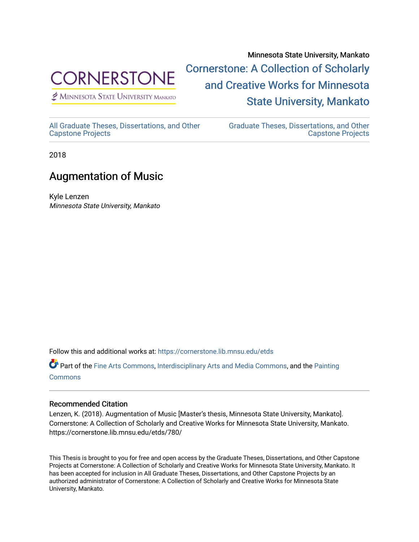

 $<sup>2</sup>$  Minnesota State University Mankato</sup>

Minnesota State University, Mankato [Cornerstone: A Collection of Scholarly](https://cornerstone.lib.mnsu.edu/)  [and Creative Works for Minnesota](https://cornerstone.lib.mnsu.edu/)  [State University, Mankato](https://cornerstone.lib.mnsu.edu/) 

[All Graduate Theses, Dissertations, and Other](https://cornerstone.lib.mnsu.edu/etds)  [Capstone Projects](https://cornerstone.lib.mnsu.edu/etds) 

[Graduate Theses, Dissertations, and Other](https://cornerstone.lib.mnsu.edu/theses_dissertations-capstone)  [Capstone Projects](https://cornerstone.lib.mnsu.edu/theses_dissertations-capstone) 

2018

## Augmentation of Music

Kyle Lenzen Minnesota State University, Mankato

Follow this and additional works at: [https://cornerstone.lib.mnsu.edu/etds](https://cornerstone.lib.mnsu.edu/etds?utm_source=cornerstone.lib.mnsu.edu%2Fetds%2F780&utm_medium=PDF&utm_campaign=PDFCoverPages) 

Part of the [Fine Arts Commons,](http://network.bepress.com/hgg/discipline/1141?utm_source=cornerstone.lib.mnsu.edu%2Fetds%2F780&utm_medium=PDF&utm_campaign=PDFCoverPages) [Interdisciplinary Arts and Media Commons](http://network.bepress.com/hgg/discipline/1137?utm_source=cornerstone.lib.mnsu.edu%2Fetds%2F780&utm_medium=PDF&utm_campaign=PDFCoverPages), and the [Painting](http://network.bepress.com/hgg/discipline/1339?utm_source=cornerstone.lib.mnsu.edu%2Fetds%2F780&utm_medium=PDF&utm_campaign=PDFCoverPages)  **[Commons](http://network.bepress.com/hgg/discipline/1339?utm_source=cornerstone.lib.mnsu.edu%2Fetds%2F780&utm_medium=PDF&utm_campaign=PDFCoverPages)** 

## Recommended Citation

Lenzen, K. (2018). Augmentation of Music [Master's thesis, Minnesota State University, Mankato]. Cornerstone: A Collection of Scholarly and Creative Works for Minnesota State University, Mankato. https://cornerstone.lib.mnsu.edu/etds/780/

This Thesis is brought to you for free and open access by the Graduate Theses, Dissertations, and Other Capstone Projects at Cornerstone: A Collection of Scholarly and Creative Works for Minnesota State University, Mankato. It has been accepted for inclusion in All Graduate Theses, Dissertations, and Other Capstone Projects by an authorized administrator of Cornerstone: A Collection of Scholarly and Creative Works for Minnesota State University, Mankato.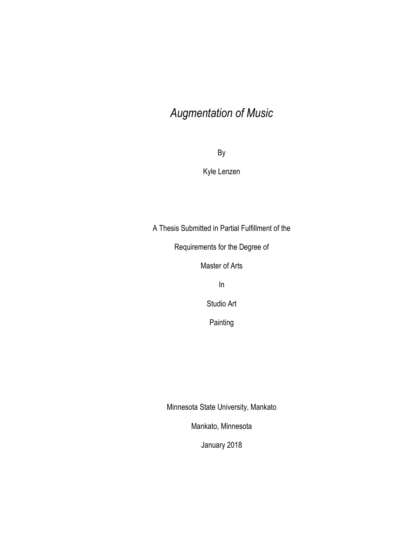## *Augmentation of Music*

By

Kyle Lenzen

A Thesis Submitted in Partial Fulfillment of the

Requirements for the Degree of

Master of Arts

In

Studio Art

Painting

Minnesota State University, Mankato

Mankato, Minnesota

January 2018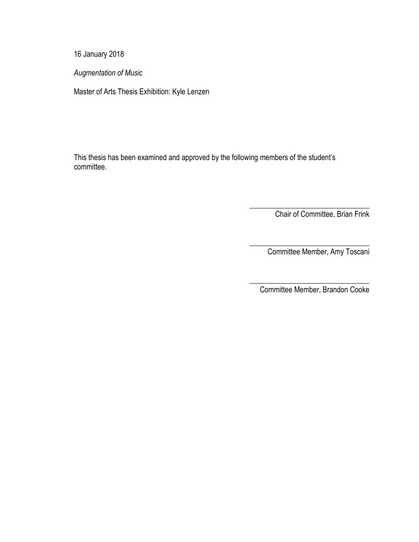16 January 2018

*Augmentation of Music* 

Master of Arts Thesis Exhibition: Kyle Lenzen

This thesis has been examined and approved by the following members of the student's committee.

Chair of Committee, Brian Frink

\_\_\_\_\_\_\_\_\_\_\_\_\_\_\_\_\_\_\_\_\_\_\_\_\_\_\_\_\_\_\_\_

\_\_\_\_\_\_\_\_\_\_\_\_\_\_\_\_\_\_\_\_\_\_\_\_\_\_\_\_\_\_\_\_

Committee Member, Amy Toscani

\_\_\_\_\_\_\_\_\_\_\_\_\_\_\_\_\_\_\_\_\_\_\_\_\_\_\_\_\_\_\_\_ Committee Member, Brandon Cooke